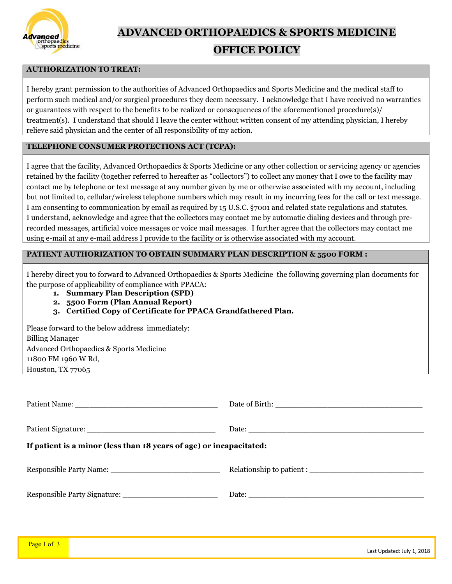

**ADVANCED ORTHOPAEDICS & SPORTS MEDICINE** 

### **OFFICE POLICY**

### **AUTHORIZATION TO TREAT:**

I hereby grant permission to the authorities of Advanced Orthopaedics and Sports Medicine and the medical staff to perform such medical and/or surgical procedures they deem necessary. I acknowledge that I have received no warranties or guarantees with respect to the benefits to be realized or consequences of the aforementioned procedure(s)/ treatment(s). I understand that should I leave the center without written consent of my attending physician, I hereby relieve said physician and the center of all responsibility of my action.

### **TELEPHONE CONSUMER PROTECTIONS ACT (TCPA):**

I agree that the facility, Advanced Orthopaedics & Sports Medicine or any other collection or servicing agency or agencies retained by the facility (together referred to hereafter as "collectors") to collect any money that I owe to the facility may contact me by telephone or text message at any number given by me or otherwise associated with my account, including but not limited to, cellular/wireless telephone numbers which may result in my incurring fees for the call or text message. I am consenting to communication by email as required by 15 U.S.C. §7001 and related state regulations and statutes. I understand, acknowledge and agree that the collectors may contact me by automatic dialing devices and through prerecorded messages, artificial voice messages or voice mail messages. I further agree that the collectors may contact me using e-mail at any e-mail address I provide to the facility or is otherwise associated with my account.

### **PATIENT AUTHORIZATION TO OBTAIN SUMMARY PLAN DESCRIPTION & 5500 FORM :**

I hereby direct you to forward to Advanced Orthopaedics & Sports Medicine the following governing plan documents for the purpose of applicability of compliance with PPACA:

- **1. Summary Plan Description (SPD)**
- **2. 5500 Form (Plan Annual Report)**
- **3. Certified Copy of Certificate for PPACA Grandfathered Plan.**

| Please forward to the below address immediately: |
|--------------------------------------------------|
| <b>Billing Manager</b>                           |
| Advanced Orthopaedics & Sports Medicine          |
| 11800 FM 1960 W Rd,                              |
| Houston, $TX$ 77065                              |

| Patient Name:                                                       |  |  |
|---------------------------------------------------------------------|--|--|
|                                                                     |  |  |
|                                                                     |  |  |
| If patient is a minor (less than 18 years of age) or incapacitated: |  |  |
|                                                                     |  |  |
|                                                                     |  |  |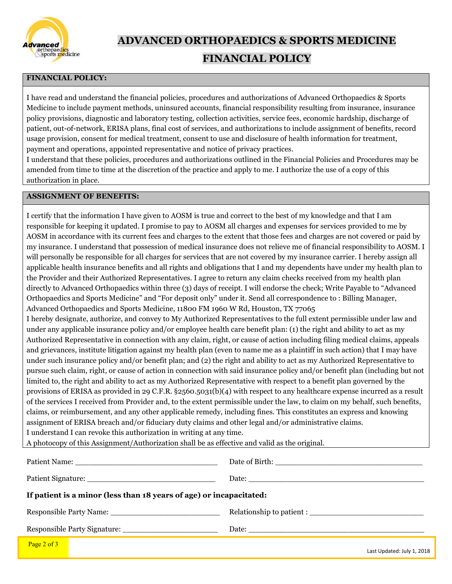

**ADVANCED ORTHOPAEDICS & SPORTS MEDICINE** 

# **FINANCIAL POLICY**

### **FINANCIAL POLICY:**

I have read and understand the financial policies, procedures and authorizations of Advanced Orthopaedics & Sports Medicine to include payment methods, uninsured accounts, financial responsibility resulting from insurance, insurance policy provisions, diagnostic and laboratory testing, collection activities, service fees, economic hardship, discharge of patient, out-of-network, ERISA plans, final cost of services, and authorizations to include assignment of benefits, record usage provision, consent for medical treatment, consent to use and disclosure of health information for treatment, payment and operations, appointed representative and notice of privacy practices.

I understand that these policies, procedures and authorizations outlined in the Financial Policies and Procedures may be amended from time to time at the discretion of the practice and apply to me. I authorize the use of a copy of this authorization in place.

### **ASSIGNMENT OF BENEFITS:**

I certify that the information I have given to AOSM is true and correct to the best of my knowledge and that I am responsible for keeping it updated. I promise to pay to AOSM all charges and expenses for services provided to me by AOSM in accordance with its current fees and charges to the extent that those fees and charges are not covered or paid by my insurance. I understand that possession of medical insurance does not relieve me of financial responsibility to AOSM. I will personally be responsible for all charges for services that are not covered by my insurance carrier. I hereby assign all applicable health insurance benefits and all rights and obligations that I and my dependents have under my health plan to the Provider and their Authorized Representatives. I agree to return any claim checks received from my health plan directly to Advanced Orthopaedics within three (3) days of receipt. I will endorse the check; Write Payable to "Advanced Orthopaedics and Sports Medicine" and "For deposit only" under it. Send all correspondence to : Billing Manager, Advanced Orthopaedics and Sports Medicine, 11800 FM 1960 W Rd, Houston, TX 77065 I hereby designate, authorize, and convey to My Authorized Representatives to the full extent permissible under law and under any applicable insurance policy and/or employee health care benefit plan: (1) the right and ability to act as my Authorized Representative in connection with any claim, right, or cause of action including filing medical claims, appeals and grievances, institute litigation against my health plan (even to name me as a plaintiff in such action) that I may have under such insurance policy and/or benefit plan; and (2) the right and ability to act as my Authorized Representative to pursue such claim, right, or cause of action in connection with said insurance policy and/or benefit plan (including but not limited to, the right and ability to act as my Authorized Representative with respect to a benefit plan governed by the provisions of ERISA as provided in 29 C.F.R. §2560.5031(b)(4) with respect to any healthcare expense incurred as a result of the services I received from Provider and, to the extent permissible under the law, to claim on my behalf, such benefits, claims, or reimbursement, and any other applicable remedy, including fines. This constitutes an express and knowing assignment of ERISA breach and/or fiduciary duty claims and other legal and/or administrative claims. I understand I can revoke this authorization in writing at any time.

A photocopy of this Assignment/Authorization shall be as effective and valid as the original.

| If patient is a minor (less than 18 years of age) or incapacitated: |  |  |
|---------------------------------------------------------------------|--|--|
|                                                                     |  |  |
|                                                                     |  |  |
| $\frac{p_{909}}{2}$ of 3                                            |  |  |

Last Updated: July 1, 2018